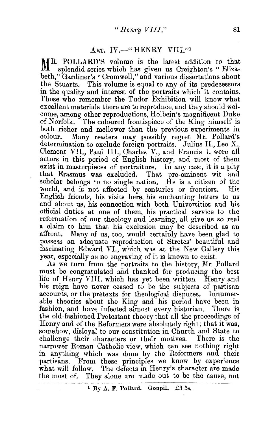## ART. IV.--" HENRY VIII."1

MR. POLLARD'S volume is the latest addition to that splendid series which has given us Creighton's "Elizabeth," Gardiner's "Cromwell," and various dissertations about the Stuarts. This volume is equal to any of its predecessors in the quality and interest of the portraits which it contains. Those who remember the Tudor Exhibition will know what excellent materials there are to reproduce, and they should welcome, among other reproductions, Holbein's magnificent Duke<br>of Norfolk. The coloured frontispiece of the King himself is The coloured frontispiece of the King himself is both richer and mellower than the previous experiments in colour. Many readers may possibly regret Mr. Pollard's determination to exclude foreign portraits. Julius II., Leo X., Clement VII., Paul III., Charles V., and Francis I. were all actors in this period of English history, and most of them exist in masterpieces of portraiture. In any case, it is a pity that Erasmus was excluded. That pre-eminent wit and scholar belongs to no single nation. He is a citizen of the world, and is not affected by centuries or frontiers. His English friends, his visits here, his enchanting letters to us and about us, his connection with both Universities and his official duties at one of them, his practical service to the reformation of our theology and learning, all give us so real a claim to him that his exclusion may be described as an affront, Many of us, too, would certainly have been glad to possess an adequate reproduction of Stretes' beautiful and fascinating Edward VI., which was at the New Gallery this year, especially as no engraving of it is known to exist.

As we turn from the portraits to the history, Mr. Pollard must be congratulated and thanked for producing the best life of Henry VIII. which has yet been written. Henry and his reign have never ceased to be the subjects of partisan accounts, or the pretexts for theological disputes. Innumerable theories about the King and his period have been in fashion, and have infected almost every historian. There is the old-fashioned Protestant theory that all the proceedings of Henry and of the Reformers were absolutely right; that it was, somehow, disloyal to our constitution in Church and State to challenge their characters or their motives. There is the narrower Roman Catholic view, which can see nothing right in anything which was done by the Reformers and their partisans. From these principles we know by experience what will follow. The defects in Henry's character are made the most of. They alone are made out to be the cause, not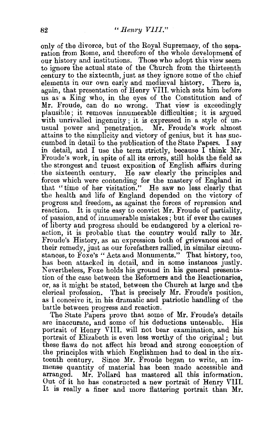only of the divorce, but of the Royal Supremacy, of the separation from Rome, and therefore of the whole development of our history and institutions. Those who adopt this view seem to ignore the actual state of the Church from the thirteenth century to the sixteenth, just as they ignore some of the chief elements in our own early and mediaval history. There is, again, that presentation of Henry VIII. which sets him before us as a King who, in the eyes of the Constitution and of Mr. Froude, can do no wrong. That view is exceedingly plausible; it removes innumerable difficulties; it is argued with unrivalled ingenuity; it is expressed in a style of unusual power and penetration. Mr. Froude's work almost attains to the simplicity and victory of genius, but it has succumbed in detail to the publication of the State Papers. I say in detail, and I use the term strictly, because I think Mr. Froude's work, in spite of all its errors, still holds the field as the strongest and truest exposition of English affairs during the sixteenth century. He saw clearly the principles and forces which were contending for the mastery of England in that "time of her visitation." He saw no less clearly that the health and life of England depended on the victory of progress and freedom, as against the forces of repression and reaction. It is quite easy to convict Mr. Froude of partiality, of passion, and of innumerable mistakes; but if ever the causes of liberty and progress should be endangered by a clerical re· action, it is probable that the country would rally to Mr. Fronde's History, as an expression both of grievances and of their remedy, just as our forefathers rallied, in similar circumstances, to Foxe's "Acts and Monuments." That history, too, has been attacked in detail, and in some instances justly. Nevertheless, Foxe holds his ground in his general presentation of the case between the Reformers and the Reactionaries, or, as it might be stated, between the Church at large and the clerical profession. That is precisely Mr. Fronde's position, as I conceive it, in his dramatic and patriotic handling of the battle between progress and reaction.

The State Papers prove that some of Mr. Fronde's details are inaccurate, and some of his deductions untenable. His portrait of Henry VIII. will not bear examination, and his portrait of Elizabeth is even less worthy of the original ; but these flaws do not affect his broad and strong conception of .the principles with which Englishmen had to deal in the sixteenth century. Since Mr. Froude began to write, an immense quantity of material has been made accessible and arranged. Mr. Pollard has mastered all this information. Out of it he has constructed a new portrait of Henry VIII. It is really a finer and more flattering portrait than Mr.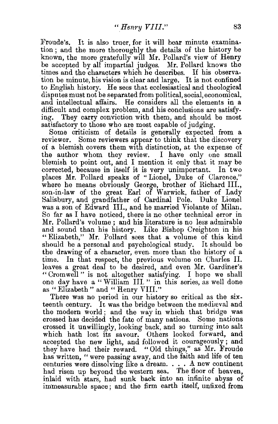Froude's. It is also truer, for it will bear minute examination ; and the more thoroughly the details of the history be known, the more gratefully will Mr. Pollard's view of Henry be accepted by all impartial judges. Mr. Pollard knows the times and the characters which he describes. If his observation be minute, his vision is clear and large. It is not confined to English history. He sees that ecclesiastical and theological disputes must not be separated from political, social, economical, and intellectual affairs. He considers all the elements in a difficult and complex problem, and his conclusions are satisfy-<br>ing. They carry conviction with them, and should be most They carry conviction with them, and should be most satisfactory to those who are most capable of judging.

Some criticism of details is generally expected from a reviewer. Some reviewers appear to think that the discovery of a blemish covers them w1th distinction, at the expense of the author whom they review. I have only one small blemish to point out, and I mention it only that it may be corrected, because in itself it is very unimportant. In two places Mr. Pollard speaks of " Lionel, Duke of Clarence," where he means obviously George, brother of Richard III., son-in-law of the great Earl of Warwick, father of Lady Salisbury, and grandfather of Cardinal Pole. Duke Lionel was a son of Edward III., and he married Violante of Milan. So far as I have noticed, there is no other technical error in Mr. Pollard's volume; and his literature is no less admirable and sound than his history. Like Bishop Creighton in his "Elizabeth," Mr. Pollard sees that a volume of this kind should be a personal and psychological study. It should be the drawing of a character, even. more than the history of a In that respect, the previous volume on Charles II. leaves a great deal to be desired, and even Mr. Gardiner's " Cromwell " is not altogether satisfying. I hope we shall one day have a "William Ill " in this series, as well done as "Elizabeth" and "Henry VIII."

There was no period in our history so critical as the sixteenth century. It was the bridge between the medieval and the modern world; and the way in which that bridge was crossed has decided the fate of many nations. Some nations crossed it unwillingly, looking back, and so turning into salt which hath lost its savour. Others looked forward, and accepted the new light, and followed it courageously; and they have had their reward. "Old things," as Mr. Fronde has written, " were passing away, and the faith and life of ten centuries were dissolving like a dream.  $\ldots$  A new continent had risen up beyond the western sea. The floor of heaven. inlaid with stars, had sunk back into an infinite abyss of immeasurable space ; and the firm earth itself, unfixed from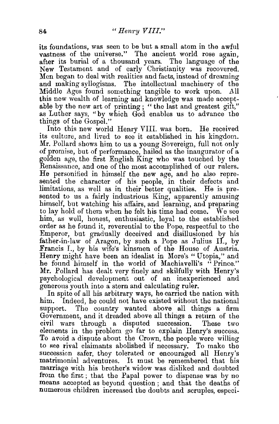its foundations, was seen to be but a small atom in the awful vastness of the universe." The ancient world rose again, after its burial of a thousand years. The language of the New Testament and of early Christianity was recovered. Men began to deal with realities and facts, instead of dreaming and making syllogisms. The intellectual machinery of the Middle Ages found something tangible to work upon. All this new wealth of learning and knowledge was made acceptable by the new art of printing ; " the last and greatest gift," as Luther says, "by which God enables us to advance the things of the Gospel."

Into this new world Henry VIII. was born. He received its culture, and lived to see it established in his kingdom. Mr. Pollard shows him to us a young Sovereign, full not only of promise, but of performance, hailed as the maugurator of a golden age, the first English King who was touched by the Renaissance, and one of the most accomplished of our rulers. He personified in himself the new age, and he also represented the character of his people, in their defects and limitations, as well as in their better qualities. He is presented to us a fairly industrious King, apparently amusing himself, but watching his affairs, and learning, and preparing to lay hold of them when he felt his time had come. We see him, as well, honest, enthusiastic, loyal to the established order as he found it, reverential to the Pope, respectful to the Emperor, but gradually deceived and disillusioned by his father-in-law of Aragon, by such a Pope as Julius II., by Francis I., by his wife's kinsmen of the House of Austria. Henry might have been an idealist in More's "Utopia," and he found himself in the world of Machiavelli's "Prince." Mr. Pollard has dealt very finely and skilfully with Henry's psychological development out of an inexperienced and generous youth into a stern and calculating ruler.

In spite of all his arbitrary ways, he carried the nation with him. 'Indeed, he could not have existed without the national The country wanted above all things a firm Government, and it dreaded above all things a return of the civil wars through a disputed succession. These two elements in the problem go far to explain Henry's success. To avoid a dispute about the Crown, the people were willing to Ree rival claimants abolished if necessary. To make the succession safer, they tolerated or encouraged all Henry's matrimonial adventures. It must be remembered that his marriage with his brother's widow was disliked and doubted from the first ; that the Papal power to dispense was by no means accepted as beyond question; and that the deaths of numerous children increased the doubts and scruples, especi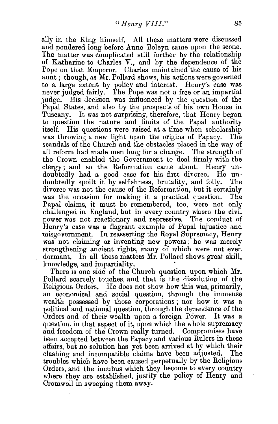ally in the King himself. All these matters were discussed and pondered long before Anne Boleyn came upon the scene. The matter was complicated still further by the relationship of Katharine to Charles V., and by the dependence of the Pope on that Emperor. Charles maintained the cause of his aunt ; though, as Mr. Pollard shows, his actions were governed to a large extent by policy and interest. Henry's case was never judged fairly. The Pope was not a free or an impartial judge. His decision was influenced by the question of the Papal States, and also by the prospects of his own House in Tuscany. It was not surprising, therefore, that Henry began to question the nature and limits of the Papal authority itself. His questions were raised at a time when scholarship was throwing a new light upon the origins of Papacy. The scandals of the Church and the obstacles placed in the way of all reform had made men long for a change. The strength of the Crown enabled the Government to deal firmly with the clergy; and so the Reformation came about. Henry undoubtedly had a good case for his first divorce. He undoubtedly spoilt it by selfishness, brutality, and folly. The divorce was not the cause of the Reformation, but it certainly was the occasion for making it a practical question. The Papal claims, it must be remembered, too, were not only challenged in England, but in every country where the civil power was not reactionary and repressive. The conduct of Henry's case was a flagrant example of Papal injustice and misgovernment. In reasserting the Royal Supremacy, Henry was not claiming or inventing new powers; he was merely strengthening ancient rights, many of which were not even dormant. In all these matters Mr. Pollard shows great skill, knowledge, and impartiality. '

There is one side of the Church question upon which Mr. Pollard scarcely touches, and that is the dissolution of the Religious Orders. He does not show how this was, primarily, an economical and social question, through the immense wealth possessed by those corporations ; nor how it was a political and national question, through the dependence of the Orders and of their wealth upon a foreign Power. It was a question, in that aspect of it, upon which the whole supremacy and freedom of the Crown really turned. Compromises have been accepted between the Papacy and various Rulers in these affairs, but no solution has yet been arrived at by which their clashing and incompatible claims have been adjusted. The troubles which have been caused perpetually by the Religious Orders, and the incubus which they become to every country where they are established, justify the policy of Henry and Cromwell in sweeping them away.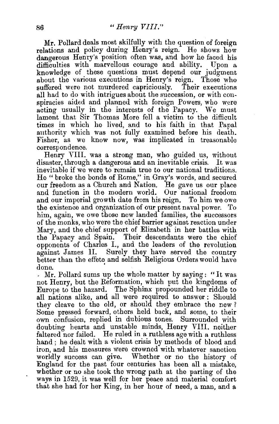Mr. Pollard deals most skilfully with the question of foreign relations and policy during Henry's reign. He shows how dangerous Henry's position often was, and how he faced his difficulties with marvellous courage and ability. Upon a knowledge of these questions must depend our judgment about the various executions in Henry's reign. Those who suffered were not murdered capriciously. Their executions all had to do with intrigues about the succession, or with conspiracies aided and planned with foreign Powers, who were acting usually in the interests of the Papacy. We must lament that Sir Thomas More fell a victim to the difficult times in which he lived, and to his faith in that Papal authority which was not fully examined before his death. Fisher, as we know now, was implicated in treasonable correspondence.

Henry VIII. was a strong man, who guided us, without disaster, through a dangerous and an inevitable crisis. It was inevitable if we were to remain true to our national traditions. He " broke the bonds of Rome," in Gray's words, and secured our freedom as a Church and Nation. He gave us our place and function in the modern world. Our national freedom and our imperial growth date from his reign. To him we owe the existence and organization of our present naval power. To him, again, we owe those new landed families, the successors of the monks, who were the chief barrier against reaction under Mary, and the chief support of Elizabeth in her battles with the Papacy and Spain. Their descendants were the chief opponents of Charles I., and the leaders of the revolution against James II. Surely they have served the country better than the effete and selfish Religious Orders would have

done.<br>But all interest the whole matter by saying: "It was not Henry, but the Reformation, which put the kmgdoms of Europe to the hazard. The Sphinx propounded her riddle to all nations alike, and all were required to answer : Should they cleave to the old, or should they embrace the new? Some pressed forward, others held back, and some, to their own confusion, replied in dubious tones. Surrounded with doubting hearts and unstable minds, Henry VIII. neither faltered nor failed. He ruled in a ruthless age with a ruthless hand ; he dealt with a violent crisis by methods of blood and iron, and his measures were crowned with whatever sanction worldly success can give. Whether or no the history of England for the past four centuries has been all a mistake, whether or no she took the wrong path at the parting of the ways in 1529, it was well for her peace and material comfort that she had for her King, in her hour of need, a man, and a